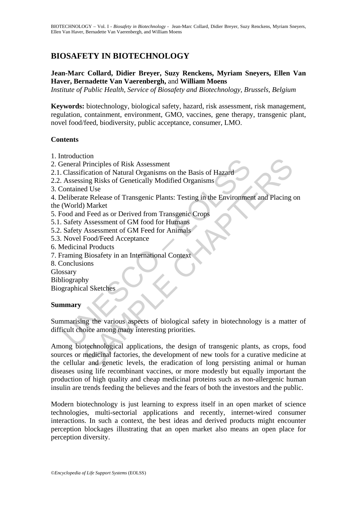# **BIOSAFETY IN BIOTECHNOLOGY**

# **Jean-Marc Collard, Didier Breyer, Suzy Renckens, Myriam Sneyers, Ellen Van Haver, Bernadette Van Vaerenbergh,** and **William Moens**

*Institute of Public Health, Service of Biosafety and Biotechnology, Brussels, Belgium* 

**Keywords:** biotechnology, biological safety, hazard, risk assessment, risk management, regulation, containment, environment, GMO, vaccines, gene therapy, transgenic plant, novel food/feed, biodiversity, public acceptance, consumer, LMO.

### **Contents**

- 1. Introduction
- 2. General Principles of Risk Assessment
- 2.1. Classification of Natural Organisms on the Basis of Hazard
- 2.2. Assessing Risks of Genetically Modified Organisms
- 3. Contained Use

4. Deliberate Release of Transgenic Plants: Testing in the Environment and Placing on the (World) Market

- 5. Food and Feed as or Derived from Transgenic Crops
- 5.1. Safety Assessment of GM food for Humans
- 5.2. Safety Assessment of GM Feed for Animals
- 5.3. Novel Food/Feed Acceptance
- 6. Medicinal Products
- 7. Framing Biosafety in an International Context
- 8. Conclusions

Glossary

Bibliography

Biographical Sketches

# **Summary**

Exercise of Risk Assessment<br>
Classification of Natural Organisms on the Basis of Hazard<br>
Classification of Natural Organisms on the Basis of Hazard<br>
Assessing Risks of Genetically Modified Organisms<br>
Contained Use<br>
Clevent Summarising the various aspects of biological safety in biotechnology is a matter of difficult choice among many interesting priorities.

Frinciples of Risk Assessment<br>
Principles of Risk Assessment<br>
Trainciples of Risks of Genetically Modified Organisms<br>
at Use<br>
d Use<br>
d Use<br>
d Ee Release of Transgenic Plants: Testing in the Environment and Placing<br>
D) Mark Among biotechnological applications, the design of transgenic plants, as crops, food sources or medicinal factories, the development of new tools for a curative medicine at the cellular and genetic levels, the eradication of long persisting animal or human diseases using life recombinant vaccines, or more modestly but equally important the production of high quality and cheap medicinal proteins such as non-allergenic human insulin are trends feeding the believes and the fears of both the investors and the public.

Modern biotechnology is just learning to express itself in an open market of science technologies, multi-sectorial applications and recently, internet-wired consumer interactions. In such a context, the best ideas and derived products might encounter perception blockages illustrating that an open market also means an open place for perception diversity.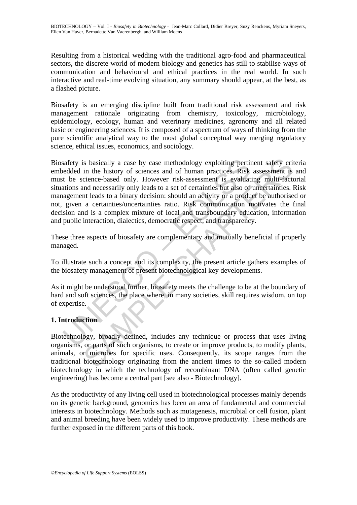Resulting from a historical wedding with the traditional agro-food and pharmaceutical sectors, the discrete world of modern biology and genetics has still to stabilise ways of communication and behavioural and ethical practices in the real world. In such interactive and real-time evolving situation, any summary should appear, at the best, as a flashed picture.

Biosafety is an emerging discipline built from traditional risk assessment and risk management rationale originating from chemistry, toxicology, microbiology, epidemiology, ecology, human and veterinary medicines, agronomy and all related basic or engineering sciences. It is composed of a spectrum of ways of thinking from the pure scientific analytical way to the most global conceptual way merging regulatory science, ethical issues, economics, and sociology.

safety is basically a case by case methodology exploiting pertinedded in the history of sciences and of human practices. Risk<br>t be science-based only. However risk-assessment is evaluat<br>ations and necessarily only leads to is basically a case by case methodology exploiting pertinent safety cri<br>in the history of sciences and of human practices. Risk assessment is<br>cience-based only. However risk-assessment is evaluating multi-fact<br>charactomed Biosafety is basically a case by case methodology exploiting pertinent safety criteria embedded in the history of sciences and of human practices. Risk assessment is and must be science-based only. However risk-assessment is evaluating multi-factorial situations and necessarily only leads to a set of certainties but also of uncertainties. Risk management leads to a binary decision: should an activity or a product be authorised or not, given a certainties/uncertainties ratio. Risk communication motivates the final decision and is a complex mixture of local and transboundary education, information and public interaction, dialectics, democratic respect, and transparency.

These three aspects of biosafety are complementary and mutually beneficial if properly managed.

To illustrate such a concept and its complexity, the present article gathers examples of the biosafety management of present biotechnological key developments.

As it might be understood further, biosafety meets the challenge to be at the boundary of hard and soft sciences, the place where, in many societies, skill requires wisdom, on top of expertise.

### **1. Introduction**

Biotechnology, broadly defined, includes any technique or process that uses living organisms, or parts of such organisms, to create or improve products, to modify plants, animals, or microbes for specific uses. Consequently, its scope ranges from the traditional biotechnology originating from the ancient times to the so-called modern biotechnology in which the technology of recombinant DNA (often called genetic engineering) has become a central part [see also - Biotechnology].

As the productivity of any living cell used in biotechnological processes mainly depends on its genetic background, genomics has been an area of fundamental and commercial interests in biotechnology. Methods such as mutagenesis, microbial or cell fusion, plant and animal breeding have been widely used to improve productivity. These methods are further exposed in the different parts of this book.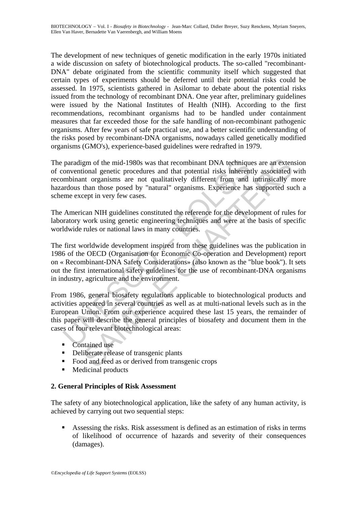The development of new techniques of genetic modification in the early 1970s initiated a wide discussion on safety of biotechnological products. The so-called "recombinant-DNA" debate originated from the scientific community itself which suggested that certain types of experiments should be deferred until their potential risks could be assessed. In 1975, scientists gathered in Asilomar to debate about the potential risks issued from the technology of recombinant DNA. One year after, preliminary guidelines were issued by the National Institutes of Health (NIH). According to the first recommendations, recombinant organisms had to be handled under containment measures that far exceeded those for the safe handling of non-recombinant pathogenic organisms. After few years of safe practical use, and a better scientific understanding of the risks posed by recombinant-DNA organisms, nowadays called genetically modified organisms (GMO's), experience-based guidelines were redrafted in 1979.

paradigm of the mid-1980s was that recombinant DNA technique onventional genetic procedures and that potential risks inherent mbinant organisms are not qualitatively different from and ardous than those posed by "natural" gm of the mid-1980s was that recombinant DNA techniques are an extentional genetic procedures and that potential risks inherently associated or that roganisms are not qualitatively different from and infrinsically n than t The paradigm of the mid-1980s was that recombinant DNA techniques are an extension of conventional genetic procedures and that potential risks inherently associated with recombinant organisms are not qualitatively different from and intrinsically more hazardous than those posed by "natural" organisms. Experience has supported such a scheme except in very few cases.

The American NIH guidelines constituted the reference for the development of rules for laboratory work using genetic engineering techniques and were at the basis of specific worldwide rules or national laws in many countries.

The first worldwide development inspired from these guidelines was the publication in 1986 of the OECD (Organisation for Economic Co-operation and Development) report on « Recombinant-DNA Safety Considerations» (also known as the "blue book"). It sets out the first international safety guidelines for the use of recombinant-DNA organisms in industry, agriculture and the environment.

From 1986, general biosafety regulations applicable to biotechnological products and activities appeared in several countries as well as at multi-national levels such as in the European Union. From our experience acquired these last 15 years, the remainder of this paper will describe the general principles of biosafety and document them in the cases of four relevant biotechnological areas:

- Contained use
- Deliberate release of transgenic plants
- Food and feed as or derived from transgenic crops
- Medicinal products

### **2. General Principles of Risk Assessment**

The safety of any biotechnological application, like the safety of any human activity, is achieved by carrying out two sequential steps:

 Assessing the risks. Risk assessment is defined as an estimation of risks in terms of likelihood of occurrence of hazards and severity of their consequences (damages).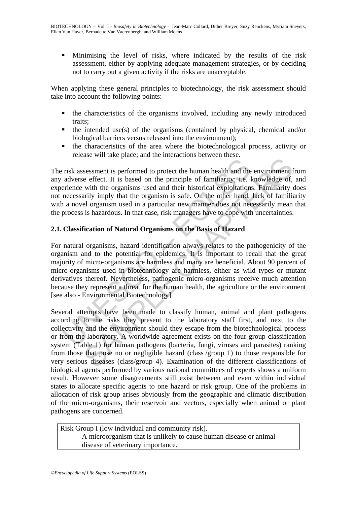Minimising the level of risks, where indicated by the results of the risk assessment, either by applying adequate management strategies, or by deciding not to carry out a given activity if the risks are unacceptable.

When applying these general principles to biotechnology, the risk assessment should take into account the following points:

- the characteristics of the organisms involved, including any newly introduced traits;
- $\blacksquare$  the intended use(s) of the organisms (contained by physical, chemical and/or biological barriers versus released into the environment);
- the characteristics of the area where the biotechnological process, activity or release will take place; and the interactions between these.

The risk assessment is performed to protect the human health and the environment from any adverse effect. It is based on the principle of familiarity; i.e. knowledge of, and experience with the organisms used and their historical exploitations. Familiarity does not necessarily imply that the organism is safe. On the other hand, lack of familiarity with a novel organism used in a particular new manner does not necessarily mean that the process is hazardous. In that case, risk managers have to cope with uncertainties.

# **2.1. Classification of Natural Organisms on the Basis of Hazard**

risk assessment is performed to protect the human health and the adverse effect. It is based on the principle of familiarity; i.e. I<br>reince with the organisms used and their historical exploitation,<br>necessarily imply that For natural organisms, hazard identification always relates to the pathogenicity of the organism and to the potential for epidemics. It is important to recall that the great majority of micro-organisms are harmless and many are beneficial. About 90 percent of micro-organisms used in biotechnology are harmless, either as wild types or mutant derivatives thereof. Nevertheless, pathogenic micro-organisms receive much attention because they represent a threat for the human health, the agriculture or the environment [see also - Environmental Biotechnology].

and the procedure and the pricing and the environment<br>sessment is performed to protect the human health and the environment<br>effect. It is based on the principle of familiarity i.e. knowledge of,<br>with the organism used and Several attempts have been made to classify human, animal and plant pathogens according to the risks they present to the laboratory staff first, and next to the collectivity and the environment should they escape from the biotechnological process or from the laboratory. A worldwide agreement exists on the four-group classification system (Table 1) for human pathogens (bacteria, fungi, viruses and parasites) ranking from those that pose no or negligible hazard (class /group 1) to those responsible for very serious diseases (class/group 4). Examination of the different classifications of biological agents performed by various national committees of experts shows a uniform result. However some disagreements still exist between and even within individual states to allocate specific agents to one hazard or risk group. One of the problems in allocation of risk group arises obviously from the geographic and climatic distribution of the micro-organisms, their reservoir and vectors, especially when animal or plant pathogens are concerned.

Risk Group I (low individual and community risk). A microorganism that is unlikely to cause human disease or animal disease of veterinary importance.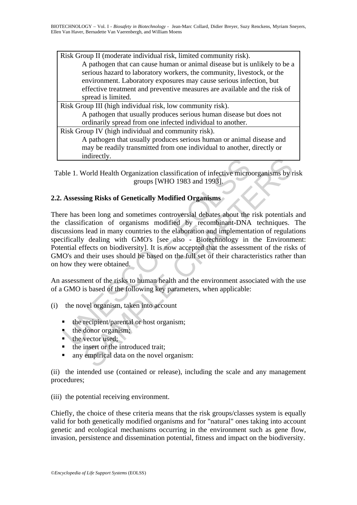| Risk Group II (moderate individual risk, limited community risk).         |
|---------------------------------------------------------------------------|
| A pathogen that can cause human or animal disease but is unlikely to be a |
| serious hazard to laboratory workers, the community, livestock, or the    |
| environment. Laboratory exposures may cause serious infection, but        |
| effective treatment and preventive measures are available and the risk of |
| spread is limited.                                                        |
| Risk Group III (high individual risk, low community risk).                |
| A pathogen that usually produces serious human disease but does not       |
| ordinarily spread from one infected individual to another.                |
| Risk Group IV (high individual and community risk).                       |
| A pathogen that usually produces serious human or animal disease and      |
| may be readily transmitted from one individual to another, directly or    |
| indirectly.                                                               |
|                                                                           |

Table 1. World Health Organization classification of infective microorganisms by risk groups [WHO 1983 and 1993].

# **2.2. Assessing Risks of Genetically Modified Organisms**

mancedy.<br>
ble 1. World Health Organization classification of infective micro<br>
groups [WHO 1983 and 1993].<br> **Assessing Risks of Genetically Modified Organisms**<br>
re has been long and sometimes controversial debates about the maniecuty.<br>
World Health Organization classification of infective microorganisms by r<br>
groups [WHO 1983 and 1993].<br>
ing Risks of Genetically Modified Organisms<br>
been long and sometimes controversial debates about the risk There has been long and sometimes controversial debates about the risk potentials and the classification of organisms modified by recombinant-DNA techniques. The discussions lead in many countries to the elaboration and implementation of regulations specifically dealing with GMO's [see also - Biotechnology in the Environment: Potential effects on biodiversity]. It is now accepted that the assessment of the risks of GMO's and their uses should be based on the full set of their characteristics rather than on how they were obtained.

An assessment of the risks to human health and the environment associated with the use of a GMO is based of the following key parameters, when applicable:

- (i) the novel organism, taken into account
	- the recipient/parental or host organism;
	- $\bullet$  the donor organism;
	- $\blacksquare$  the vector used;
	- the insert or the introduced trait;
	- any empirical data on the novel organism:

(ii) the intended use (contained or release), including the scale and any management procedures;

(iii) the potential receiving environment.

Chiefly, the choice of these criteria means that the risk groups/classes system is equally valid for both genetically modified organisms and for "natural" ones taking into account genetic and ecological mechanisms occurring in the environment such as gene flow, invasion, persistence and dissemination potential, fitness and impact on the biodiversity.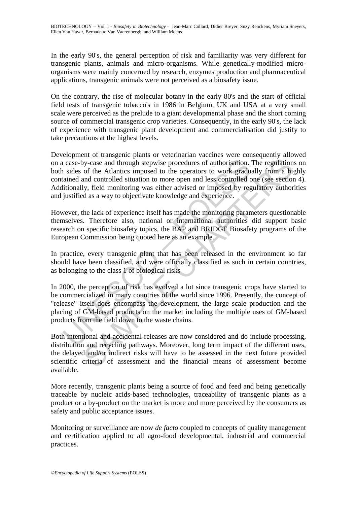In the early 90's, the general perception of risk and familiarity was very different for transgenic plants, animals and micro-organisms. While genetically-modified microorganisms were mainly concerned by research, enzymes production and pharmaceutical applications, transgenic animals were not perceived as a biosafety issue.

On the contrary, the rise of molecular botany in the early 80's and the start of official field tests of transgenic tobacco's in 1986 in Belgium, UK and USA at a very small scale were perceived as the prelude to a giant developmental phase and the short coming source of commercial transgenic crop varieties. Consequently, in the early 90's, the lack of experience with transgenic plant development and commercialisation did justify to take precautions at the highest levels.

I case-by-case and through stepwise procedures of authorisation.<br>
1 sides of the Atlantics imposed to the operators to work gradu<br>
1 sides of the Atlantics imposed to the operators to work gradu<br>
1 sides on the Atlantics i by-case and through stepwise procedures of authorisation. The regulation<br>of the Atlantics imposed to the operators to work gradually from a hij<br>and controlled situation to more open and less controlled one (see section<br>of Development of transgenic plants or veterinarian vaccines were consequently allowed on a case-by-case and through stepwise procedures of authorisation. The regulations on both sides of the Atlantics imposed to the operators to work gradually from a highly contained and controlled situation to more open and less controlled one (see section 4). Additionally, field monitoring was either advised or imposed by regulatory authorities and justified as a way to objectivate knowledge and experience.

However, the lack of experience itself has made the monitoring parameters questionable themselves. Therefore also, national or international authorities did support basic research on specific biosafety topics, the BAP and BRIDGE Biosafety programs of the European Commission being quoted here as an example.

In practice, every transgenic plant that has been released in the environment so far should have been classified, and were officially classified as such in certain countries, as belonging to the class 1 of biological risks

In 2000, the perception of risk has evolved a lot since transgenic crops have started to be commercialized in many countries of the world since 1996. Presently, the concept of "release" itself does encompass the development, the large scale production and the placing of GM-based products on the market including the multiple uses of GM-based products from the field down to the waste chains.

Both intentional and accidental releases are now considered and do include processing, distribution and recycling pathways. Moreover, long term impact of the different uses, the delayed and/or indirect risks will have to be assessed in the next future provided scientific criteria of assessment and the financial means of assessment become available.

More recently, transgenic plants being a source of food and feed and being genetically traceable by nucleic acids-based technologies, traceability of transgenic plants as a product or a by-product on the market is more and more perceived by the consumers as safety and public acceptance issues.

Monitoring or surveillance are now *de facto* coupled to concepts of quality management and certification applied to all agro-food developmental, industrial and commercial practices.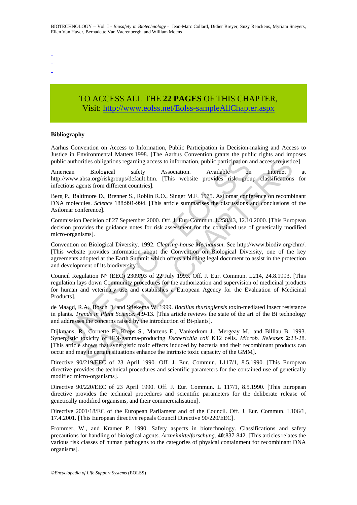- -

-

# TO ACCESS ALL THE **22 PAGES** OF THIS CHAPTER, Visit: [http://www.eolss.net/Eolss-sampleAllChapter.aspx](https://www.eolss.net/ebooklib/sc_cart.aspx?File=E6-58-01-08)

#### **Bibliography**

Aarhus Convention on Access to Information, Public Participation in Decision-making and Access to Justice in Environmental Matters.1998. [The Aarhus Convention grants the public rights and imposes public authorities obligations regarding access to information, public participation and access to justice]

American Biological safety Association. Available on Internet at http://www.absa.org/riskgroups/default.htm. [This website provides risk group classifications for infectious agents from different countries].

Berg P., Baltimore D., Brenner S., Roblin R.O., Singer M.F. 1975. Asilomar conference on recombinant DNA molecules. *Science* 188:991-994. [This article summarises the discussions and conclusions of the Asilomar conference].

Commission Decision of 27 September 2000. Off. J. Eur. Commun. L258/43, 12.10.2000. [This European decision provides the guidance notes for risk assessment for the contained use of genetically modified micro-organisms].

ic authorities obligations regarding access to information, public participation a<br>
rican Biological safety Association. Available on<br>
//www.absa.org/riskgroups/default.htm. [This website provides risk group<br>
(/www.absa.or ities obligations regarding access to information, public participation and access to just<br>in Biological safety Association. Available on Internet bis access for just<br>increase anogrisk groups detault.htm. [This website pro Convention on Biological Diversity. 1992. *Clearing-house Mechanism*. See http://www.biodiv.org/chm/. [This website provides information about the Convention on Biological Diversity, one of the key agreements adopted at the Earth Summit which offers a binding legal document to assist in the protection and development of its biodiversity].

Council Regulation N° (EEC) 2309/93 of 22 July 1993. Off. J. Eur. Commun. L214, 24.8.1993. [This regulation lays down Community procedures for the authorization and supervision of medicinal products for human and veterinary use and establishes a European Agency for the Evaluation of Medicinal Products].

de Maagd, R.A., Bosch D. and Stiekema W. 1999. *Bacillus thuringiensis* toxin-mediated insect resistance in plants. *Trends in Plant Science*. 4:9-13. [This article reviews the state of the art of the Bt technology and addresses the concerns raised by the introduction of Bt-plants].

Dijkmans, R., Cornette F., Kreps S., Martens E., Vankerkom J., Mergeay M., and Billiau B. 1993. Synergistic toxicity of IFN-gamma-producing *Escherichia coli* K12 cells. *Microb. Releases* **2**:23-28. [This article shows that synergistic toxic effects induced by bacteria and their recombinant products can occur and may in certain situations enhance the intrinsic toxic capacity of the GMM].

Directive 90/219/EEC of 23 April 1990. Off. J. Eur. Commun. L117/1, 8.5.1990. [This European directive provides the technical procedures and scientific parameters for the contained use of genetically modified micro-organisms].

Directive 90/220/EEC of 23 April 1990. Off. J. Eur. Commun. L 117/1, 8.5.1990. [This European directive provides the technical procedures and scientific parameters for the deliberate release of genetically modified organisms, and their commercialisation].

Directive 2001/18/EC of the European Parliament and of the Council. Off. J. Eur. Commun. L106/1, 17.4.2001. [This European directive repeals Council Directive 90/220/EEC].

Frommer, W., and Kramer P. 1990. Safety aspects in biotechnology. Classifications and safety precautions for handling of biological agents. *Arzneimittelforschung*. **40**:837-842. [This articles relates the various risk classes of human pathogens to the categories of physical containment for recombinant DNA organisms].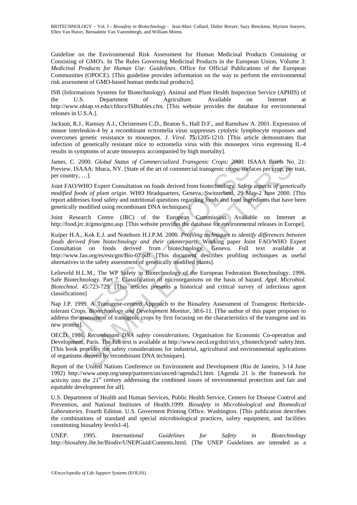Guideline on the Environmental Risk Assessment for Human Medicinal Products Containing or Consisting of GMO's. In The Rules Governing Medicinal Products in the European Union, Volume 3: *Medicinal Products for Human Use: Guidelines*. Office for Official Publications of the European Communities (OPOCE). [This guideline provides information on the way to perform the environmental risk assessment of GMO-based human medicinal products].

ISB (Informations Systems for Biotechnology). Animal and Plant Health Inspection Service (APHIS) of the U.S. Department of Agriculture. Available on Internet at http://www.nbiap.vt.edu/cfdocs/ISBtables.cfm. [This website provides the database for environmental releases in U.S.A.].

Jackson, R.J., Ramsay A.J., Christensen C.D., Beaton S., Hall D.F., and Ramshaw A. 2001. Expression of mouse interleukin-4 by a recombinant ectromelia virus suppresses cytolytic lymphocyte responses and overcomes genetic resistance to mousepox. *J. Virol*. **75:**1205-1210. [This article demonstrates that infection of genetically resistant mice to ectromelia virus with this mousepox virus expressing IL-4 results in symptoms of acute mousepox accompanied by high mortality].

James, C. 2000. *Global Status of Commercialized Transgenic Crops: 2000*. ISAAA Briefs No. 21: Preview. ISAAA: Ithaca, NY. [State of the art of commercial transgenic crops: surfaces per crop, per trait, per country, …].

Joint FAO/WHO Expert Consultation on foods derived from biotechnology*. Safety aspects of genetically modified foods of plant origin*. WHO Headquarters, Geneva, Switzerland, 29 May-2 June 2000. [This report addresses food safety and nutritional questions regarding foods and food ingredients that have been genetically modified using recombinant DNA techniques].

Joint Research Centre (JRC) of the European Commission. Available on Internet at http://food.jrc.it/gmo/gmo.asp. [This website provides the database for environmental releases in Europe].

ss, C. 2000. *Global Status of Commercialized Transgenic Crops:* 2000. ISAA: ISAA: Ithaca, NY. [State of the art of commercial transgenic crops: surfourty....]<br>country....] CFAO/WHO Expert Consultation on foods derived fro 000. *Global Status of Commercialized Transgenic Crops: 2000*. ISAAA Briefs No<br>AA: lthaca, NY. [State of the art of commercial transgenic crops: surfaces per crops, per<br>AA: lthaca, NY. [State of the art of commercial trans Kuiper H.A., Kok E.J. and Noteborn H.J.P.M. 2000. *Profiling techniques to identify differences between foods derived from biotechnology and their counterparts*. Working paper Joint FAO/WHO Expert Consultation on foods derived from biotechnology, Geneva. Full text available at http://www.fao.org/es/esn/gm/Bio-07.pdf. [This document describes profiling techniques as useful alternatives in the safety assessment of genetically modified plants].

Lelieveld H.L.M., The WP Safety in Biotechnology of the European Federation Biotechnology. 1996. Safe Biotechnology. Part 7. Classification of microorganisms on the basis of hazard. *Appl. Microbiol. Biotechnol*. 45:723-729. [This articles presents a historical and critical survey of infectious agent classifications]

Nap J.P. 1999. A Transgene-centred Approach to the Biosafety Assessment of Transgenic Herbicidetolerant Crops. *Biotechnology and Development Monitor*, 38:6-11. [The author of this paper proposes to address the assessment of transgenic crops by first focusing on the characteristics of the transgene and its new protein].

OECD. 1986. *Recombinant DNA safety considerations*. Organisation for Economic Co-operation and Development, Paris. The full text is available at http://www.oecd.org/dsti/sti/s\_t/biotech/prod/ safety.htm. [This book provides the safety considerations for industrial, agricultural and environmental applications of organisms derived by recombinant DNA techniques].

Report of the United Nations Conference on Environment and Development (Rio de Janeiro, 3-14 June 1992) http://www.unep.org/unep/partners/un/unced//agenda21.htm. [Agenda 21 is the framework for activity into the 21<sup>st</sup> century addressing the combined issues of environmental protection and fair and equitable development for all].

U.S. Department of Health and Human Services, Public Health Service, Centers for Disease Control and Prevention, and National Institutes of Health.1999*. Biosafety in Microbiological and Biomedical Laboratories*. Fourth Edition. U.S. Goverment Printing Office. Washington. [This publication describes the combinations of standard and special microbiological practices, safety equipment, and facilities constituting biosafety levels1-4].

UNEP. 1995. *International Guidelines for Safety in Biotechnology* http://biosafety.ihe.be/Biodiv/UNEPGuid/Contents.html. [The UNEP Guidelines are intended as a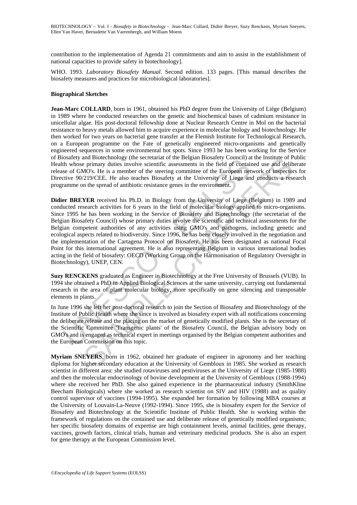contribution to the implementation of Agenda 21 commitments and aim to assist in the establishment of national capacities to provide safety in biotechnology].

WHO. 1993. *Laboratory Biosafety Manual*. Second edition. 133 pages. [This manual describes the biosafety measures and practices for microbiological laboratories].

#### **Biographical Sketches**

**Jean-Marc COLLARD**, born in 1961, obtained his PhD degree from the University of Liège (Belgium) in 1989 where he conducted researches on the genetic and biochemical bases of cadmium resistance in unicellular algae. His post-doctoral fellowship done at Nuclear Research Centre in Mol on the bacterial resistance to heavy metals allowed him to acquire experience in molecular biology and biotechnology. He then worked for two years on bacterial gene transfer at the Flemish Institute for Technological Research, on a European programme on the Fate of genetically engineered micro-organisms and genetically engineered sequences in some environmental hot spots. Since 1993 he has been working for the Service of Biosafety and Biotechnology (the secretariat of the Belgian Biosafety Council) at the Institute of Public Health whose primary duties involve scientific assessments in the field of contained use and deliberate release of GMO's. He is a member of the steering committee of the European network of inspectors for Directive 90/219/CEE. He also teaches Biosafety at the University of Liege and conducts a research programme on the spread of antibiotic resistance genes in the environment.

ossarely and Bloodcomical assemblance in the beginal Bloodcomical and thossementy columitation. The mean of the mean of the mean of the series of GMO's. He is a member of the steering committee of the European net series 9 and Biotecmology (Ine secretizant of the Beignan hossactery Council at the Instatute of P<br>e primary duties involve scientific assessments in the field of contained use and delib<br>MOs. He is a member of the steering committe **Didier BREYER** received his Ph.D. in Biology from the University of Liege (Belgium) in 1989 and conducted research activities for 6 years in the field of molecular biology applied to micro-organisms. Since 1995 he has been working in the Service of Biosafety and Biotechnology (the secretariat of the Belgian Biosafety Council) whose primary duties involve the scientific and technical assessments for the Belgian competent authorities of any activities using GMO's and pathogens, including genetic and ecological aspects related to biodiversity. Since 1996, he has been closely involved in the negotiation and the implementation of the Cartagena Protocol on Biosafety. He has been designated as national Focal Point for this international agreement. He is also representing Belgium in various international bodies acting in the field of biosafety: OECD (Working Group on the Harmonisation of Regulatory Oversight in Biotechnology), UNEP, CEN.

**Suzy RENCKENS** graduated as Engineer in Biotechnology at the Free University of Brussels (VUB). In 1994 she obtained a PhD in Applied Biological Sciences at the same university, carrying out fundamental research in the area of plant molecular biology, more specifically on gene silencing and transposable elements in plants.

In June 1996 she left her post-doctoral research to join the Section of Biosafety and Biotechnology of the Institute of Public Health where she since is involved as biosafety expert with all notifications concerning the deliberate release and the placing on the market of genetically modified plants. She is the secretary of the Scientific Committee 'Transgenic plants' of the Biosafety Council, the Belgian advisory body on GMO's and is engaged as technical expert in meetings organised by the Belgian competent authorities and the European Commission on this topic.

**Myriam SNEYERS**, born in 1962, obtained her graduate of engineer in agronomy and her teaching diploma for higher secondary education at the University of Gembloux in 1985. She worked as research scientist in different area: she studied rotaviruses and pestiviruses at the University of Liege (1985-1988) and then the molecular endocrinology of bovine development at the University of Gembloux (1988-1994) where she received her PhD. She also gained experience in the pharmaceutical industry (SmithKline Beecham Biologicals) where she worked as research scientist on SIV and HIV (1988) and as quality control supervisor of vaccines (1994-1995). She expanded her formation by following MBA courses at the University of Louvain-La-Neuve (1992-1994). Since 1995, she is biosafety expert for the Service of Biosafety and Biotechnology at the Scientific Institute of Public Health. She is working within the framework of regulations on the contained use and deliberate release of genetically modified organisms; her specific biosafety domains of expertise are high containment levels, animal facilities, gene therapy, vaccines, growth factors, clinical trials, human and veterinary medicinal products. She is also an expert for gene therapy at the European Commission level.